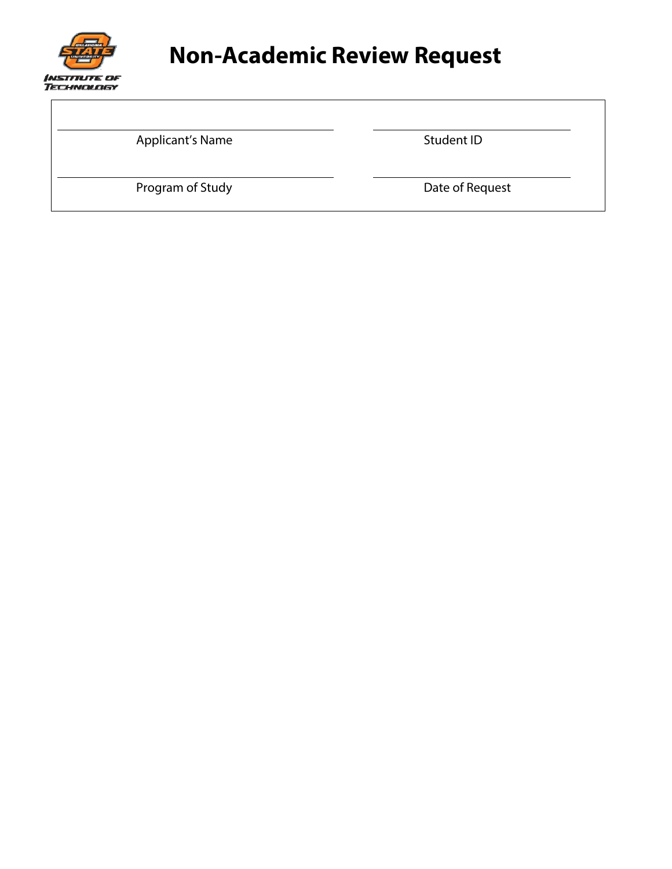

 $\overline{a}$ 

## **Non-Academic Review Request**

Applicant's Name Student ID

Program of Study **Date of Request**